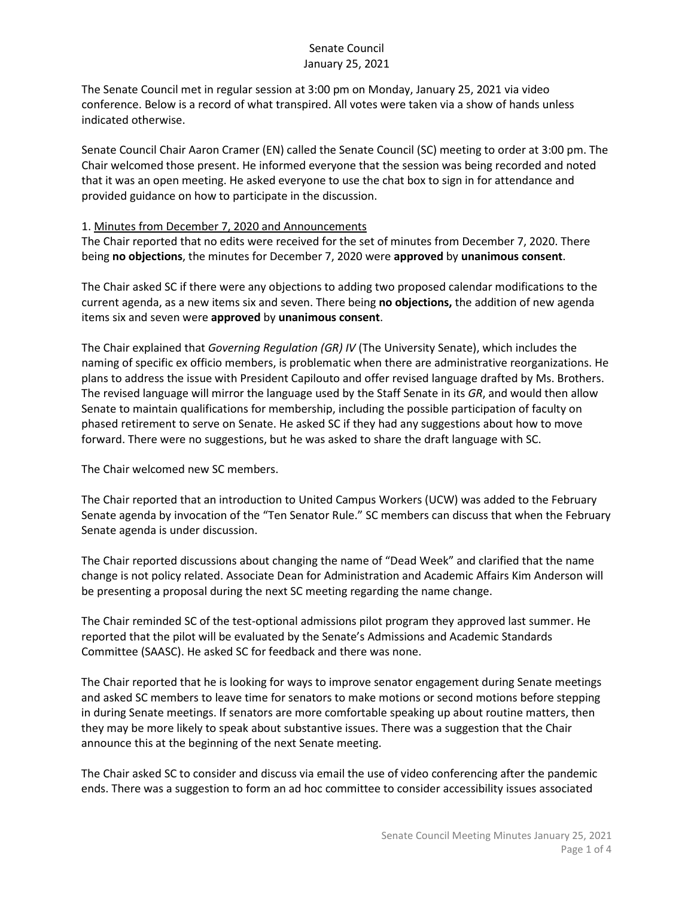The Senate Council met in regular session at 3:00 pm on Monday, January 25, 2021 via video conference. Below is a record of what transpired. All votes were taken via a show of hands unless indicated otherwise.

Senate Council Chair Aaron Cramer (EN) called the Senate Council (SC) meeting to order at 3:00 pm. The Chair welcomed those present. He informed everyone that the session was being recorded and noted that it was an open meeting. He asked everyone to use the chat box to sign in for attendance and provided guidance on how to participate in the discussion.

#### 1. Minutes from December 7, 2020 and Announcements

The Chair reported that no edits were received for the set of minutes from December 7, 2020. There being **no objections**, the minutes for December 7, 2020 were **approved** by **unanimous consent**.

The Chair asked SC if there were any objections to adding two proposed calendar modifications to the current agenda, as a new items six and seven. There being **no objections,** the addition of new agenda items six and seven were **approved** by **unanimous consent**.

The Chair explained that *Governing Regulation (GR) IV* (The University Senate), which includes the naming of specific ex officio members, is problematic when there are administrative reorganizations. He plans to address the issue with President Capilouto and offer revised language drafted by Ms. Brothers. The revised language will mirror the language used by the Staff Senate in its *GR*, and would then allow Senate to maintain qualifications for membership, including the possible participation of faculty on phased retirement to serve on Senate. He asked SC if they had any suggestions about how to move forward. There were no suggestions, but he was asked to share the draft language with SC.

The Chair welcomed new SC members.

The Chair reported that an introduction to United Campus Workers (UCW) was added to the February Senate agenda by invocation of the "Ten Senator Rule." SC members can discuss that when the February Senate agenda is under discussion.

The Chair reported discussions about changing the name of "Dead Week" and clarified that the name change is not policy related. Associate Dean for Administration and Academic Affairs Kim Anderson will be presenting a proposal during the next SC meeting regarding the name change.

The Chair reminded SC of the test-optional admissions pilot program they approved last summer. He reported that the pilot will be evaluated by the Senate's Admissions and Academic Standards Committee (SAASC). He asked SC for feedback and there was none.

The Chair reported that he is looking for ways to improve senator engagement during Senate meetings and asked SC members to leave time for senators to make motions or second motions before stepping in during Senate meetings. If senators are more comfortable speaking up about routine matters, then they may be more likely to speak about substantive issues. There was a suggestion that the Chair announce this at the beginning of the next Senate meeting.

The Chair asked SC to consider and discuss via email the use of video conferencing after the pandemic ends. There was a suggestion to form an ad hoc committee to consider accessibility issues associated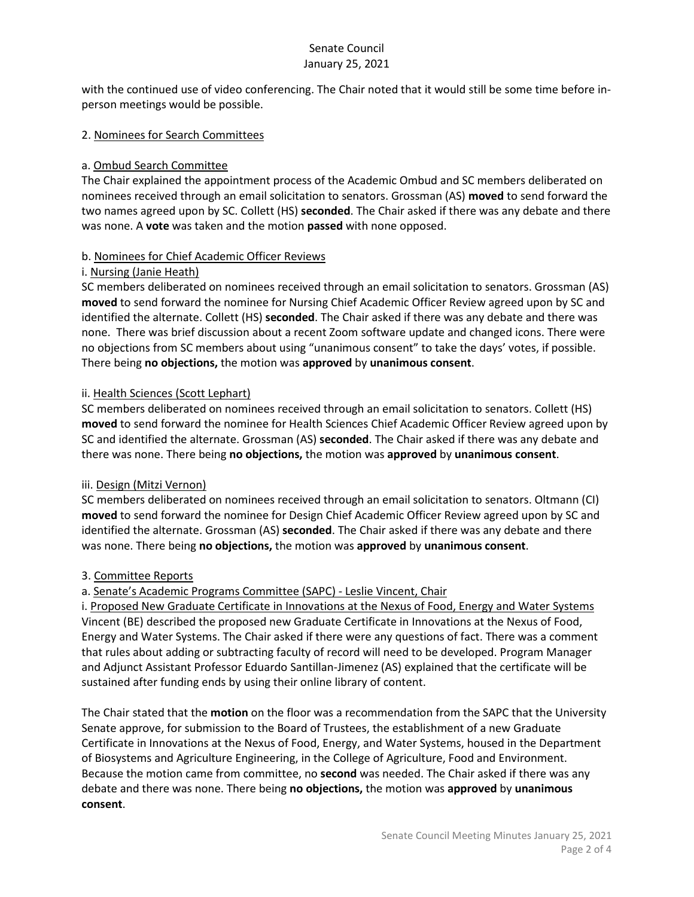with the continued use of video conferencing. The Chair noted that it would still be some time before inperson meetings would be possible.

#### 2. Nominees for Search Committees

## a. Ombud Search Committee

The Chair explained the appointment process of the Academic Ombud and SC members deliberated on nominees received through an email solicitation to senators. Grossman (AS) **moved** to send forward the two names agreed upon by SC. Collett (HS) **seconded**. The Chair asked if there was any debate and there was none. A **vote** was taken and the motion **passed** with none opposed.

#### b. Nominees for Chief Academic Officer Reviews

#### i. Nursing (Janie Heath)

SC members deliberated on nominees received through an email solicitation to senators. Grossman (AS) **moved** to send forward the nominee for Nursing Chief Academic Officer Review agreed upon by SC and identified the alternate. Collett (HS) **seconded**. The Chair asked if there was any debate and there was none. There was brief discussion about a recent Zoom software update and changed icons. There were no objections from SC members about using "unanimous consent" to take the days' votes, if possible. There being **no objections,** the motion was **approved** by **unanimous consent**.

#### ii. Health Sciences (Scott Lephart)

SC members deliberated on nominees received through an email solicitation to senators. Collett (HS) **moved** to send forward the nominee for Health Sciences Chief Academic Officer Review agreed upon by SC and identified the alternate. Grossman (AS) **seconded**. The Chair asked if there was any debate and there was none. There being **no objections,** the motion was **approved** by **unanimous consent**.

## iii. Design (Mitzi Vernon)

SC members deliberated on nominees received through an email solicitation to senators. Oltmann (CI) **moved** to send forward the nominee for Design Chief Academic Officer Review agreed upon by SC and identified the alternate. Grossman (AS) **seconded**. The Chair asked if there was any debate and there was none. There being **no objections,** the motion was **approved** by **unanimous consent**.

## 3. Committee Reports

## a. Senate's Academic Programs Committee (SAPC) - Leslie Vincent, Chair

i. Proposed New Graduate Certificate in Innovations at the Nexus of Food, Energy and Water Systems Vincent (BE) described the proposed new Graduate Certificate in Innovations at the Nexus of Food, Energy and Water Systems. The Chair asked if there were any questions of fact. There was a comment that rules about adding or subtracting faculty of record will need to be developed. Program Manager and Adjunct Assistant Professor Eduardo Santillan-Jimenez (AS) explained that the certificate will be sustained after funding ends by using their online library of content.

The Chair stated that the **motion** on the floor was a recommendation from the SAPC that the University Senate approve, for submission to the Board of Trustees, the establishment of a new Graduate Certificate in Innovations at the Nexus of Food, Energy, and Water Systems, housed in the Department of Biosystems and Agriculture Engineering, in the College of Agriculture, Food and Environment. Because the motion came from committee, no **second** was needed. The Chair asked if there was any debate and there was none. There being **no objections,** the motion was **approved** by **unanimous consent**.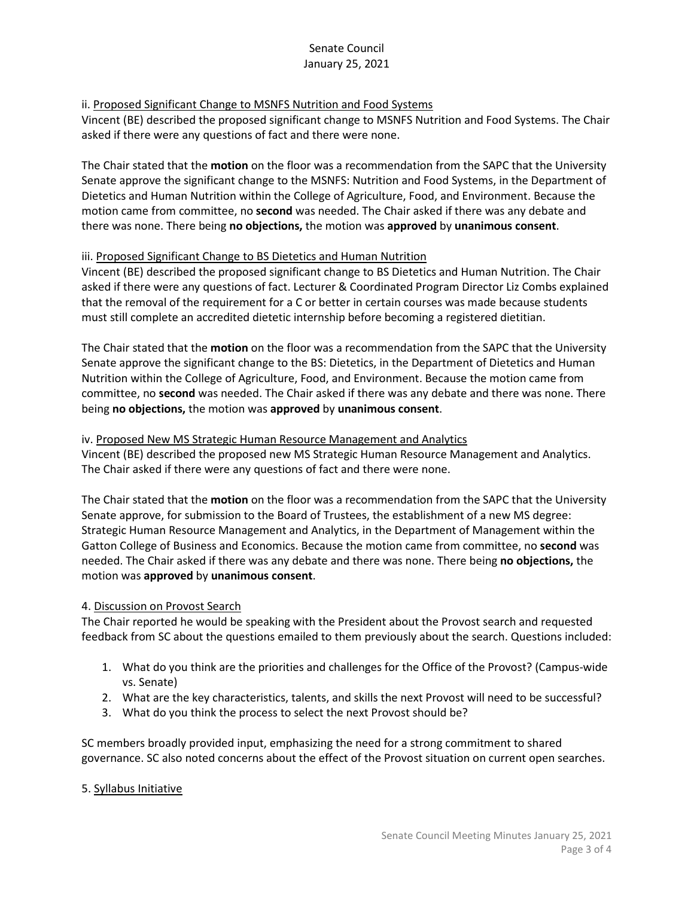### ii. Proposed Significant Change to MSNFS Nutrition and Food Systems

Vincent (BE) described the proposed significant change to MSNFS Nutrition and Food Systems. The Chair asked if there were any questions of fact and there were none.

The Chair stated that the **motion** on the floor was a recommendation from the SAPC that the University Senate approve the significant change to the MSNFS: Nutrition and Food Systems, in the Department of Dietetics and Human Nutrition within the College of Agriculture, Food, and Environment. Because the motion came from committee, no **second** was needed. The Chair asked if there was any debate and there was none. There being **no objections,** the motion was **approved** by **unanimous consent**.

#### iii. Proposed Significant Change to BS Dietetics and Human Nutrition

Vincent (BE) described the proposed significant change to BS Dietetics and Human Nutrition. The Chair asked if there were any questions of fact. Lecturer & Coordinated Program Director Liz Combs explained that the removal of the requirement for a C or better in certain courses was made because students must still complete an accredited dietetic internship before becoming a registered dietitian.

The Chair stated that the **motion** on the floor was a recommendation from the SAPC that the University Senate approve the significant change to the BS: Dietetics, in the Department of Dietetics and Human Nutrition within the College of Agriculture, Food, and Environment. Because the motion came from committee, no **second** was needed. The Chair asked if there was any debate and there was none. There being **no objections,** the motion was **approved** by **unanimous consent**.

#### iv. Proposed New MS Strategic Human Resource Management and Analytics

Vincent (BE) described the proposed new MS Strategic Human Resource Management and Analytics. The Chair asked if there were any questions of fact and there were none.

The Chair stated that the **motion** on the floor was a recommendation from the SAPC that the University Senate approve, for submission to the Board of Trustees, the establishment of a new MS degree: Strategic Human Resource Management and Analytics, in the Department of Management within the Gatton College of Business and Economics. Because the motion came from committee, no **second** was needed. The Chair asked if there was any debate and there was none. There being **no objections,** the motion was **approved** by **unanimous consent**.

## 4. Discussion on Provost Search

The Chair reported he would be speaking with the President about the Provost search and requested feedback from SC about the questions emailed to them previously about the search. Questions included:

- 1. What do you think are the priorities and challenges for the Office of the Provost? (Campus-wide vs. Senate)
- 2. What are the key characteristics, talents, and skills the next Provost will need to be successful?
- 3. What do you think the process to select the next Provost should be?

SC members broadly provided input, emphasizing the need for a strong commitment to shared governance. SC also noted concerns about the effect of the Provost situation on current open searches.

## 5. Syllabus Initiative